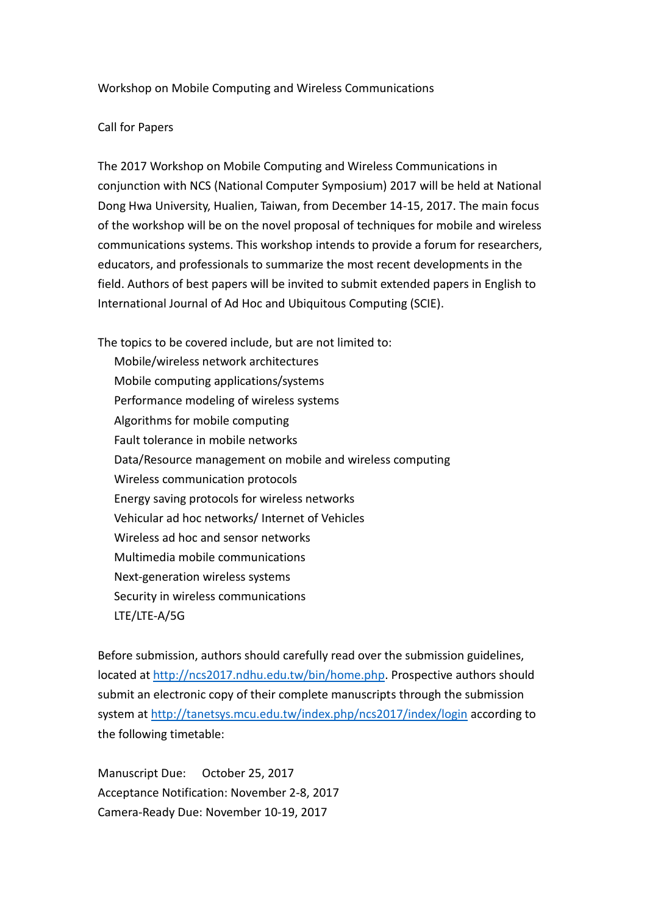## Workshop on Mobile Computing and Wireless Communications

## Call for Papers

The 2017 Workshop on Mobile Computing and Wireless Communications in conjunction with NCS (National Computer Symposium) 2017 will be held at National Dong Hwa University, Hualien, Taiwan, from December 14-15, 2017. The main focus of the workshop will be on the novel proposal of techniques for mobile and wireless communications systems. This workshop intends to provide a forum for researchers, educators, and professionals to summarize the most recent developments in the field. Authors of best papers will be invited to submit extended papers in English to International Journal of Ad Hoc and Ubiquitous Computing (SCIE).

The topics to be covered include, but are not limited to: Mobile/wireless network architectures Mobile computing applications/systems Performance modeling of wireless systems Algorithms for mobile computing Fault tolerance in mobile networks Data/Resource management on mobile and wireless computing Wireless communication protocols Energy saving protocols for wireless networks Vehicular ad hoc networks/ Internet of Vehicles Wireless ad hoc and sensor networks Multimedia mobile communications Next-generation wireless systems Security in wireless communications LTE/LTE-A/5G

Before submission, authors should carefully read over the submission guidelines, located at [http://ncs2017.ndhu.edu.tw/bin/home.php.](http://ncs2017.ndhu.edu.tw/bin/home.php) Prospective authors should submit an electronic copy of their complete manuscripts through the submission system at<http://tanetsys.mcu.edu.tw/index.php/ncs2017/index/login> according to the following timetable:

Manuscript Due: October 25, 2017 Acceptance Notification: November 2-8, 2017 Camera-Ready Due: November 10-19, 2017